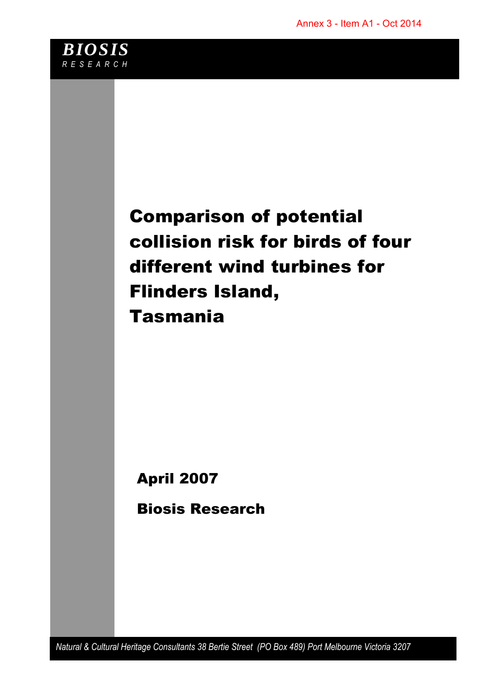

# Comparison of potential collision risk for birds of four different wind turbines for Flinders Island, Tasmania

April 2007

Biosis Research

*Natural & Cultural Heritage Consultants 38 Bertie Street (PO Box 489) Port Melbourne Victoria 3207*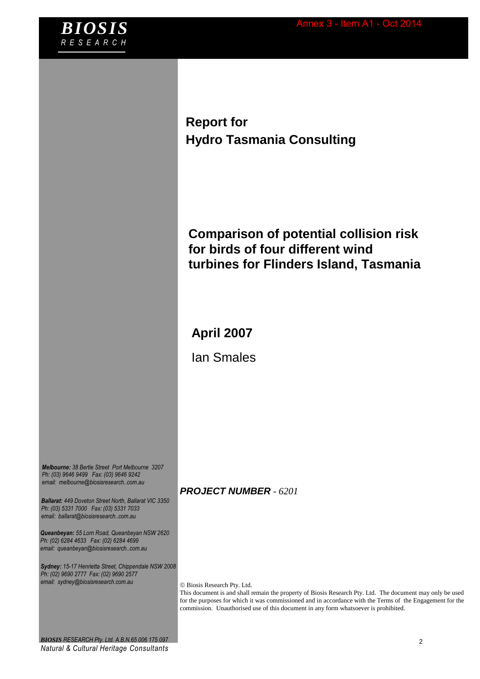

**Report for Hydro Tasmania Consulting**

## **Comparison of potential collision risk for birds of four different wind turbines for Flinders Island, Tasmania**

### **April 2007**

Ian Smales

*Melbourne: 38 Bertie Street Port Melbourne 3207 Ph: (03) 9646 9499 Fax: (03) 9646 9242 email: melbourne@biosisresearch..com.au*

*Ballarat: 449 Doveton Street North, Ballarat VIC 3350 Ph: (03) 5331 7000 Fax: (03) 5331 7033 email: ballarat@biosisresearch..com.au*

*Queanbeyan: 55 Lorn Road, Queanbeyan NSW 2620 Ph: (02) 6284 4633 Fax: (02) 6284 4699 email: queanbeyan@biosisresearch..com.au*

*Sydney: 15-17 Henrietta Street, Chippendale NSW 2008 Ph: (02) 9690 2777 Fax: (02) 9690 2577 email: sydney@biosisresearch.com.au*

#### *PROJECT NUMBER - 6201*

Biosis Research Pty. Ltd.

This document is and shall remain the property of Biosis Research Pty. Ltd. The document may only be used for the purposes for which it was commissioned and in accordance with the Terms of the Engagement for the commission. Unauthorised use of this document in any form whatsoever is prohibited.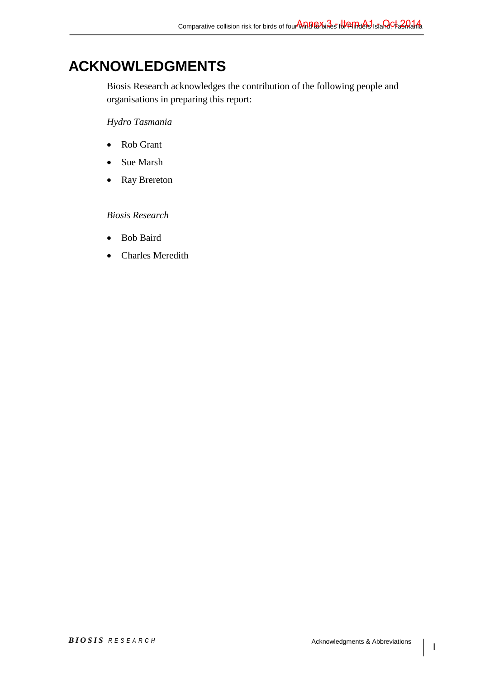## **ACKNOWLEDGMENTS**

Biosis Research acknowledges the contribution of the following people and organisations in preparing this report:

#### *Hydro Tasmania*

- Rob Grant
- Sue Marsh
- Ray Brereton

#### *Biosis Research*

- Bob Baird
- Charles Meredith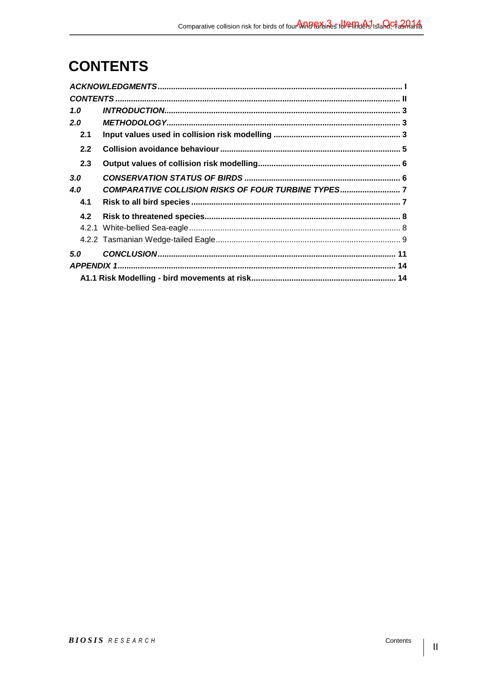# **CONTENTS**

| 1.0 |                                                    |  |
|-----|----------------------------------------------------|--|
| 2.0 |                                                    |  |
| 2.1 |                                                    |  |
| 2.2 |                                                    |  |
| 2.3 |                                                    |  |
| 3.0 |                                                    |  |
| 4.0 | COMPARATIVE COLLISION RISKS OF FOUR TURBINE TYPES7 |  |
| 4.1 |                                                    |  |
| 4.2 |                                                    |  |
|     |                                                    |  |
|     |                                                    |  |
| 5.0 |                                                    |  |
|     |                                                    |  |
|     |                                                    |  |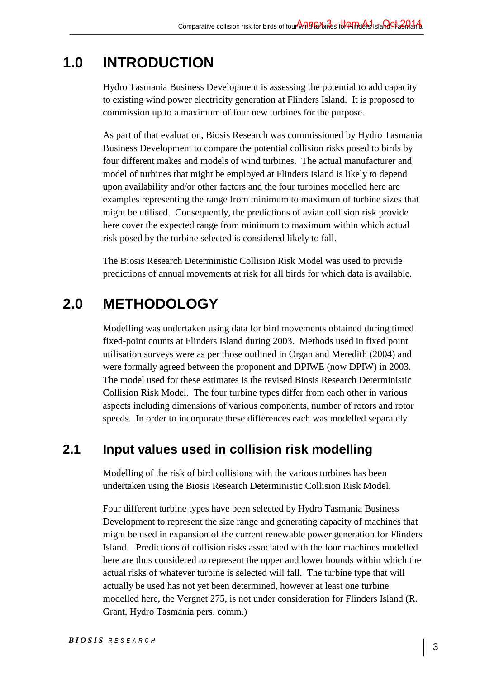# **1.0 INTRODUCTION**

Hydro Tasmania Business Development is assessing the potential to add capacity to existing wind power electricity generation at Flinders Island. It is proposed to commission up to a maximum of four new turbines for the purpose.

As part of that evaluation, Biosis Research was commissioned by Hydro Tasmania Business Development to compare the potential collision risks posed to birds by four different makes and models of wind turbines. The actual manufacturer and model of turbines that might be employed at Flinders Island is likely to depend upon availability and/or other factors and the four turbines modelled here are examples representing the range from minimum to maximum of turbine sizes that might be utilised. Consequently, the predictions of avian collision risk provide here cover the expected range from minimum to maximum within which actual risk posed by the turbine selected is considered likely to fall.

The Biosis Research Deterministic Collision Risk Model was used to provide predictions of annual movements at risk for all birds for which data is available.

# **2.0 METHODOLOGY**

Modelling was undertaken using data for bird movements obtained during timed fixed-point counts at Flinders Island during 2003. Methods used in fixed point utilisation surveys were as per those outlined in Organ and Meredith (2004) and were formally agreed between the proponent and DPIWE (now DPIW) in 2003. The model used for these estimates is the revised Biosis Research Deterministic Collision Risk Model. The four turbine types differ from each other in various aspects including dimensions of various components, number of rotors and rotor speeds. In order to incorporate these differences each was modelled separately

## **2.1 Input values used in collision risk modelling**

Modelling of the risk of bird collisions with the various turbines has been undertaken using the Biosis Research Deterministic Collision Risk Model.

Four different turbine types have been selected by Hydro Tasmania Business Development to represent the size range and generating capacity of machines that might be used in expansion of the current renewable power generation for Flinders Island. Predictions of collision risks associated with the four machines modelled here are thus considered to represent the upper and lower bounds within which the actual risks of whatever turbine is selected will fall. The turbine type that will actually be used has not yet been determined, however at least one turbine modelled here, the Vergnet 275, is not under consideration for Flinders Island (R. Grant, Hydro Tasmania pers. comm.)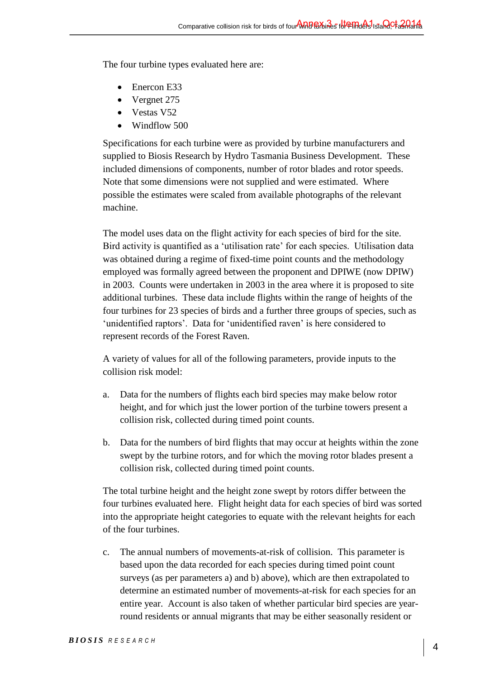The four turbine types evaluated here are:

- Enercon E33
- Vergnet 275
- Vestas V52
- Windflow 500

Specifications for each turbine were as provided by turbine manufacturers and supplied to Biosis Research by Hydro Tasmania Business Development. These included dimensions of components, number of rotor blades and rotor speeds. Note that some dimensions were not supplied and were estimated. Where possible the estimates were scaled from available photographs of the relevant machine.

The model uses data on the flight activity for each species of bird for the site. Bird activity is quantified as a 'utilisation rate' for each species. Utilisation data was obtained during a regime of fixed-time point counts and the methodology employed was formally agreed between the proponent and DPIWE (now DPIW) in 2003. Counts were undertaken in 2003 in the area where it is proposed to site additional turbines. These data include flights within the range of heights of the four turbines for 23 species of birds and a further three groups of species, such as 'unidentified raptors'. Data for 'unidentified raven' is here considered to represent records of the Forest Raven.

A variety of values for all of the following parameters, provide inputs to the collision risk model:

- a. Data for the numbers of flights each bird species may make below rotor height, and for which just the lower portion of the turbine towers present a collision risk, collected during timed point counts.
- b. Data for the numbers of bird flights that may occur at heights within the zone swept by the turbine rotors, and for which the moving rotor blades present a collision risk, collected during timed point counts.

The total turbine height and the height zone swept by rotors differ between the four turbines evaluated here. Flight height data for each species of bird was sorted into the appropriate height categories to equate with the relevant heights for each of the four turbines.

c. The annual numbers of movements-at-risk of collision. This parameter is based upon the data recorded for each species during timed point count surveys (as per parameters a) and b) above), which are then extrapolated to determine an estimated number of movements-at-risk for each species for an entire year. Account is also taken of whether particular bird species are yearround residents or annual migrants that may be either seasonally resident or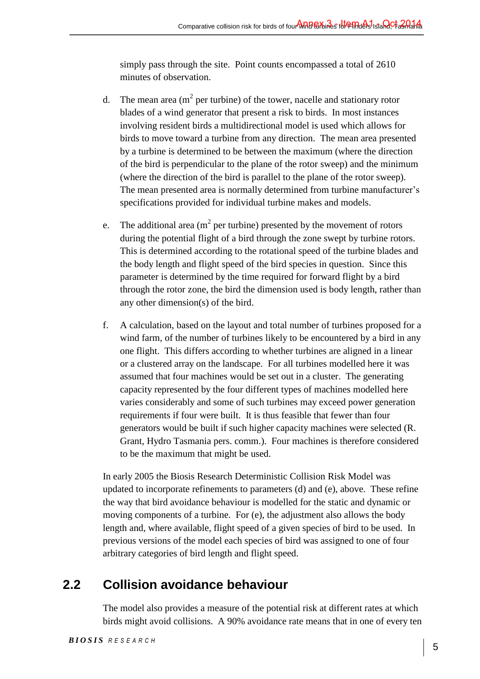simply pass through the site. Point counts encompassed a total of 2610 minutes of observation.

- d. The mean area ( $m^2$  per turbine) of the tower, nacelle and stationary rotor blades of a wind generator that present a risk to birds. In most instances involving resident birds a multidirectional model is used which allows for birds to move toward a turbine from any direction. The mean area presented by a turbine is determined to be between the maximum (where the direction of the bird is perpendicular to the plane of the rotor sweep) and the minimum (where the direction of the bird is parallel to the plane of the rotor sweep). The mean presented area is normally determined from turbine manufacturer's specifications provided for individual turbine makes and models.
- e. The additional area ( $m^2$  per turbine) presented by the movement of rotors during the potential flight of a bird through the zone swept by turbine rotors. This is determined according to the rotational speed of the turbine blades and the body length and flight speed of the bird species in question. Since this parameter is determined by the time required for forward flight by a bird through the rotor zone, the bird the dimension used is body length, rather than any other dimension(s) of the bird.
- f. A calculation, based on the layout and total number of turbines proposed for a wind farm, of the number of turbines likely to be encountered by a bird in any one flight. This differs according to whether turbines are aligned in a linear or a clustered array on the landscape. For all turbines modelled here it was assumed that four machines would be set out in a cluster. The generating capacity represented by the four different types of machines modelled here varies considerably and some of such turbines may exceed power generation requirements if four were built. It is thus feasible that fewer than four generators would be built if such higher capacity machines were selected (R. Grant, Hydro Tasmania pers. comm.). Four machines is therefore considered to be the maximum that might be used.

In early 2005 the Biosis Research Deterministic Collision Risk Model was updated to incorporate refinements to parameters (d) and (e), above. These refine the way that bird avoidance behaviour is modelled for the static and dynamic or moving components of a turbine. For (e), the adjustment also allows the body length and, where available, flight speed of a given species of bird to be used. In previous versions of the model each species of bird was assigned to one of four arbitrary categories of bird length and flight speed.

## **2.2 Collision avoidance behaviour**

The model also provides a measure of the potential risk at different rates at which birds might avoid collisions. A 90% avoidance rate means that in one of every ten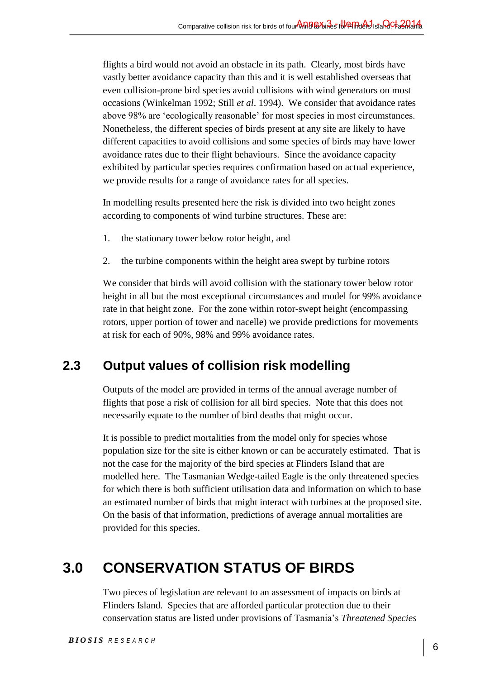flights a bird would not avoid an obstacle in its path. Clearly, most birds have vastly better avoidance capacity than this and it is well established overseas that even collision-prone bird species avoid collisions with wind generators on most occasions (Winkelman 1992; Still *et al*. 1994). We consider that avoidance rates above 98% are 'ecologically reasonable' for most species in most circumstances. Nonetheless, the different species of birds present at any site are likely to have different capacities to avoid collisions and some species of birds may have lower avoidance rates due to their flight behaviours. Since the avoidance capacity exhibited by particular species requires confirmation based on actual experience, we provide results for a range of avoidance rates for all species.

In modelling results presented here the risk is divided into two height zones according to components of wind turbine structures. These are:

- 1. the stationary tower below rotor height, and
- 2. the turbine components within the height area swept by turbine rotors

We consider that birds will avoid collision with the stationary tower below rotor height in all but the most exceptional circumstances and model for 99% avoidance rate in that height zone. For the zone within rotor-swept height (encompassing rotors, upper portion of tower and nacelle) we provide predictions for movements at risk for each of 90%, 98% and 99% avoidance rates.

## **2.3 Output values of collision risk modelling**

Outputs of the model are provided in terms of the annual average number of flights that pose a risk of collision for all bird species. Note that this does not necessarily equate to the number of bird deaths that might occur.

It is possible to predict mortalities from the model only for species whose population size for the site is either known or can be accurately estimated. That is not the case for the majority of the bird species at Flinders Island that are modelled here. The Tasmanian Wedge-tailed Eagle is the only threatened species for which there is both sufficient utilisation data and information on which to base an estimated number of birds that might interact with turbines at the proposed site. On the basis of that information, predictions of average annual mortalities are provided for this species.

# **3.0 CONSERVATION STATUS OF BIRDS**

Two pieces of legislation are relevant to an assessment of impacts on birds at Flinders Island. Species that are afforded particular protection due to their conservation status are listed under provisions of Tasmania's *Threatened Species*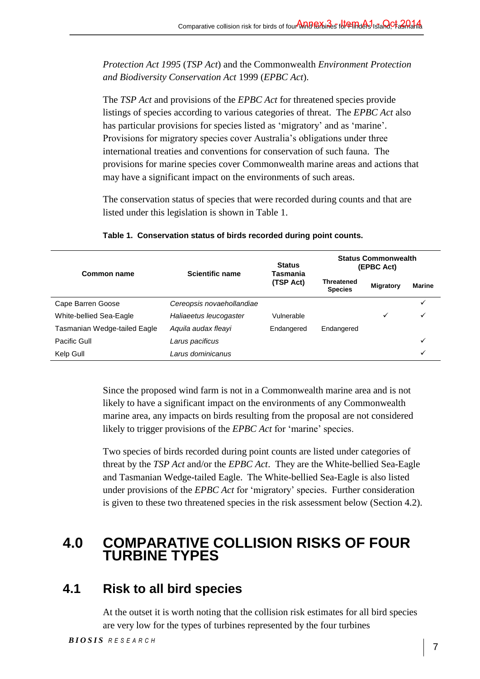*Protection Act 1995* (*TSP Act*) and the Commonwealth *Environment Protection and Biodiversity Conservation Act* 1999 (*EPBC Act*).

The *TSP Act* and provisions of the *EPBC Act* for threatened species provide listings of species according to various categories of threat. The *EPBC Act* also has particular provisions for species listed as 'migratory' and as 'marine'. Provisions for migratory species cover Australia's obligations under three international treaties and conventions for conservation of such fauna. The provisions for marine species cover Commonwealth marine areas and actions that may have a significant impact on the environments of such areas.

The conservation status of species that were recorded during counts and that are listed under this legislation is shown in Table 1.

| Common name                  | <b>Scientific name</b>    | <b>Status</b><br>Tasmania<br>(TSP Act) | <b>Status Commonwealth</b><br>(EPBC Act) |                  |               |
|------------------------------|---------------------------|----------------------------------------|------------------------------------------|------------------|---------------|
|                              |                           |                                        | <b>Threatened</b><br><b>Species</b>      | <b>Migratory</b> | <b>Marine</b> |
| Cape Barren Goose            | Cereopsis novaehollandiae |                                        |                                          |                  | ✓             |
| White-bellied Sea-Eagle      | Haliaeetus leucogaster    | Vulnerable                             |                                          | ✓                | ✓             |
| Tasmanian Wedge-tailed Eagle | Aguila audax fleavi       | Endangered                             | Endangered                               |                  |               |
| Pacific Gull                 | Larus pacificus           |                                        |                                          |                  | ✓             |
| Kelp Gull                    | Larus dominicanus         |                                        |                                          |                  | ✓             |

#### **Table 1. Conservation status of birds recorded during point counts.**

Since the proposed wind farm is not in a Commonwealth marine area and is not likely to have a significant impact on the environments of any Commonwealth marine area, any impacts on birds resulting from the proposal are not considered likely to trigger provisions of the *EPBC Act* for 'marine' species.

Two species of birds recorded during point counts are listed under categories of threat by the *TSP Act* and/or the *EPBC Act*. They are the White-bellied Sea-Eagle and Tasmanian Wedge-tailed Eagle. The White-bellied Sea-Eagle is also listed under provisions of the *EPBC Act* for 'migratory' species. Further consideration is given to these two threatened species in the risk assessment below (Section 4.2).

## **4.0 COMPARATIVE COLLISION RISKS OF FOUR TURBINE TYPES**

## **4.1 Risk to all bird species**

At the outset it is worth noting that the collision risk estimates for all bird species are very low for the types of turbines represented by the four turbines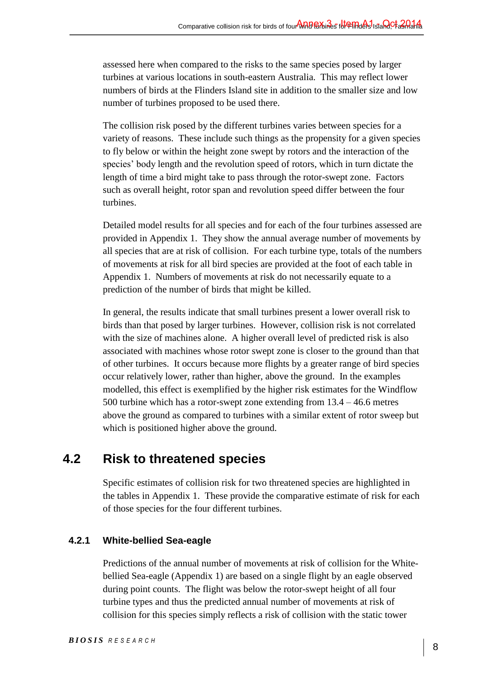assessed here when compared to the risks to the same species posed by larger turbines at various locations in south-eastern Australia. This may reflect lower numbers of birds at the Flinders Island site in addition to the smaller size and low number of turbines proposed to be used there.

The collision risk posed by the different turbines varies between species for a variety of reasons. These include such things as the propensity for a given species to fly below or within the height zone swept by rotors and the interaction of the species' body length and the revolution speed of rotors, which in turn dictate the length of time a bird might take to pass through the rotor-swept zone. Factors such as overall height, rotor span and revolution speed differ between the four turbines.

Detailed model results for all species and for each of the four turbines assessed are provided in Appendix 1. They show the annual average number of movements by all species that are at risk of collision. For each turbine type, totals of the numbers of movements at risk for all bird species are provided at the foot of each table in Appendix 1. Numbers of movements at risk do not necessarily equate to a prediction of the number of birds that might be killed.

In general, the results indicate that small turbines present a lower overall risk to birds than that posed by larger turbines. However, collision risk is not correlated with the size of machines alone. A higher overall level of predicted risk is also associated with machines whose rotor swept zone is closer to the ground than that of other turbines. It occurs because more flights by a greater range of bird species occur relatively lower, rather than higher, above the ground. In the examples modelled, this effect is exemplified by the higher risk estimates for the Windflow 500 turbine which has a rotor-swept zone extending from 13.4 – 46.6 metres above the ground as compared to turbines with a similar extent of rotor sweep but which is positioned higher above the ground.

## **4.2 Risk to threatened species**

Specific estimates of collision risk for two threatened species are highlighted in the tables in Appendix 1. These provide the comparative estimate of risk for each of those species for the four different turbines.

#### **4.2.1 White-bellied Sea-eagle**

Predictions of the annual number of movements at risk of collision for the Whitebellied Sea-eagle (Appendix 1) are based on a single flight by an eagle observed during point counts. The flight was below the rotor-swept height of all four turbine types and thus the predicted annual number of movements at risk of collision for this species simply reflects a risk of collision with the static tower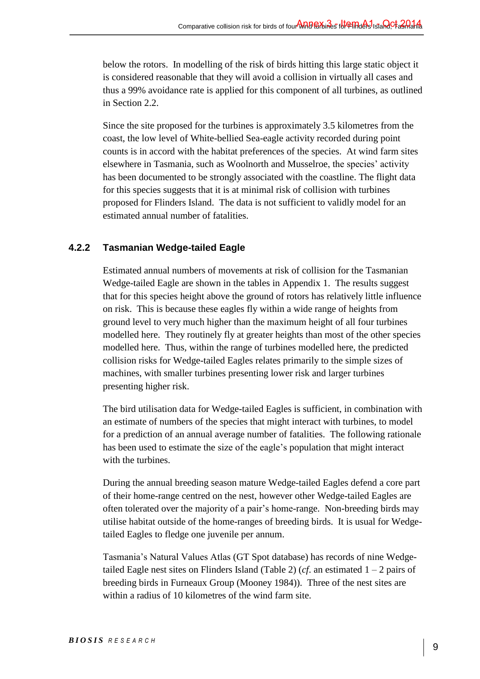below the rotors. In modelling of the risk of birds hitting this large static object it is considered reasonable that they will avoid a collision in virtually all cases and thus a 99% avoidance rate is applied for this component of all turbines, as outlined in Section 2.2.

Since the site proposed for the turbines is approximately 3.5 kilometres from the coast, the low level of White-bellied Sea-eagle activity recorded during point counts is in accord with the habitat preferences of the species. At wind farm sites elsewhere in Tasmania, such as Woolnorth and Musselroe, the species' activity has been documented to be strongly associated with the coastline. The flight data for this species suggests that it is at minimal risk of collision with turbines proposed for Flinders Island. The data is not sufficient to validly model for an estimated annual number of fatalities.

#### **4.2.2 Tasmanian Wedge-tailed Eagle**

Estimated annual numbers of movements at risk of collision for the Tasmanian Wedge-tailed Eagle are shown in the tables in Appendix 1. The results suggest that for this species height above the ground of rotors has relatively little influence on risk. This is because these eagles fly within a wide range of heights from ground level to very much higher than the maximum height of all four turbines modelled here. They routinely fly at greater heights than most of the other species modelled here. Thus, within the range of turbines modelled here, the predicted collision risks for Wedge-tailed Eagles relates primarily to the simple sizes of machines, with smaller turbines presenting lower risk and larger turbines presenting higher risk.

The bird utilisation data for Wedge-tailed Eagles is sufficient, in combination with an estimate of numbers of the species that might interact with turbines, to model for a prediction of an annual average number of fatalities. The following rationale has been used to estimate the size of the eagle's population that might interact with the turbines.

During the annual breeding season mature Wedge-tailed Eagles defend a core part of their home-range centred on the nest, however other Wedge-tailed Eagles are often tolerated over the majority of a pair's home-range. Non-breeding birds may utilise habitat outside of the home-ranges of breeding birds. It is usual for Wedgetailed Eagles to fledge one juvenile per annum.

Tasmania's Natural Values Atlas (GT Spot database) has records of nine Wedgetailed Eagle nest sites on Flinders Island (Table 2) (*cf.* an estimated  $1 - 2$  pairs of breeding birds in Furneaux Group (Mooney 1984)). Three of the nest sites are within a radius of 10 kilometres of the wind farm site.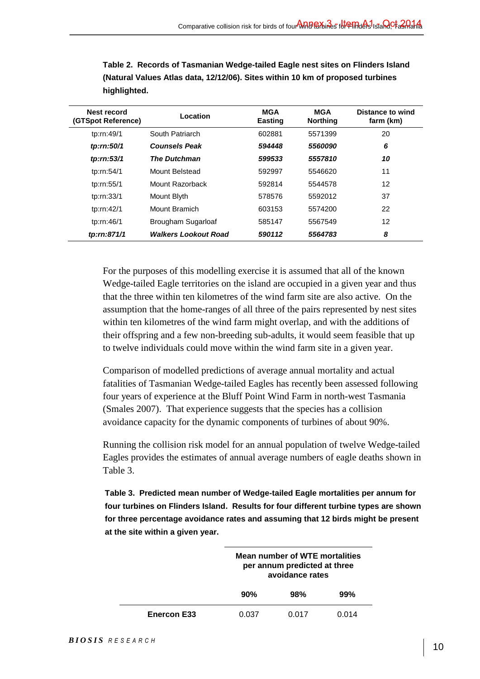| Nest record<br>(GTSpot Reference) | Location                    | <b>MGA</b><br><b>Easting</b> | <b>MGA</b><br><b>Northing</b> | Distance to wind<br>farm (km) |
|-----------------------------------|-----------------------------|------------------------------|-------------------------------|-------------------------------|
| tp:rn:49/1                        | South Patriarch             | 602881                       | 5571399                       | 20                            |
| tp:rn:50/1                        | <b>Counsels Peak</b>        | 594448                       | 5560090                       | 6                             |
| tp:rn:53/1                        | <b>The Dutchman</b>         | 599533                       | 5557810                       | 10                            |
| tp:rn:54/1                        | Mount Belstead              | 592997                       | 5546620                       | 11                            |
| tp:rn:55/1                        | Mount Razorback             | 592814                       | 5544578                       | 12                            |
| tp:rn:33/1                        | Mount Blyth                 | 578576                       | 5592012                       | 37                            |
| tp:rn:42/1                        | Mount Bramich               | 603153                       | 5574200                       | 22                            |
| tp:rn:46/1                        | Brougham Sugarloaf          | 585147                       | 5567549                       | 12                            |
| tp:rn:871/1                       | <b>Walkers Lookout Road</b> | 590112                       | 5564783                       | 8                             |

**Table 2. Records of Tasmanian Wedge-tailed Eagle nest sites on Flinders Island (Natural Values Atlas data, 12/12/06). Sites within 10 km of proposed turbines highlighted.** 

For the purposes of this modelling exercise it is assumed that all of the known Wedge-tailed Eagle territories on the island are occupied in a given year and thus that the three within ten kilometres of the wind farm site are also active. On the assumption that the home-ranges of all three of the pairs represented by nest sites within ten kilometres of the wind farm might overlap, and with the additions of their offspring and a few non-breeding sub-adults, it would seem feasible that up to twelve individuals could move within the wind farm site in a given year.

Comparison of modelled predictions of average annual mortality and actual fatalities of Tasmanian Wedge-tailed Eagles has recently been assessed following four years of experience at the Bluff Point Wind Farm in north-west Tasmania (Smales 2007). That experience suggests that the species has a collision avoidance capacity for the dynamic components of turbines of about 90%.

Running the collision risk model for an annual population of twelve Wedge-tailed Eagles provides the estimates of annual average numbers of eagle deaths shown in Table 3.

**Table 3. Predicted mean number of Wedge-tailed Eagle mortalities per annum for four turbines on Flinders Island. Results for four different turbine types are shown for three percentage avoidance rates and assuming that 12 birds might be present at the site within a given year.** 

|                    | Mean number of WTE mortalities<br>per annum predicted at three<br>avoidance rates |       |       |
|--------------------|-----------------------------------------------------------------------------------|-------|-------|
|                    | 90%<br>98%<br>99%                                                                 |       |       |
| <b>Enercon E33</b> | 0.037                                                                             | 0.017 | 0 014 |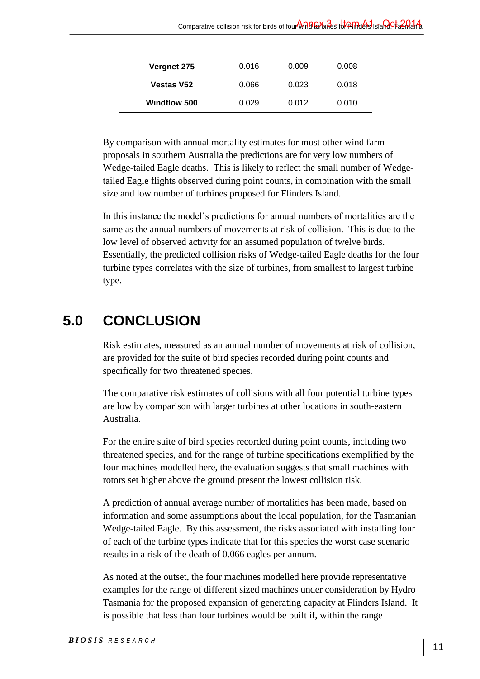| Vergnet 275         | 0.016 | 0.009 | 0.008 |
|---------------------|-------|-------|-------|
| <b>Vestas V52</b>   | 0.066 | 0.023 | 0.018 |
| <b>Windflow 500</b> | 0.029 | 0.012 | 0.010 |

By comparison with annual mortality estimates for most other wind farm proposals in southern Australia the predictions are for very low numbers of Wedge-tailed Eagle deaths. This is likely to reflect the small number of Wedgetailed Eagle flights observed during point counts, in combination with the small size and low number of turbines proposed for Flinders Island.

In this instance the model's predictions for annual numbers of mortalities are the same as the annual numbers of movements at risk of collision. This is due to the low level of observed activity for an assumed population of twelve birds. Essentially, the predicted collision risks of Wedge-tailed Eagle deaths for the four turbine types correlates with the size of turbines, from smallest to largest turbine type.

# **5.0 CONCLUSION**

Risk estimates, measured as an annual number of movements at risk of collision, are provided for the suite of bird species recorded during point counts and specifically for two threatened species.

The comparative risk estimates of collisions with all four potential turbine types are low by comparison with larger turbines at other locations in south-eastern Australia.

For the entire suite of bird species recorded during point counts, including two threatened species, and for the range of turbine specifications exemplified by the four machines modelled here, the evaluation suggests that small machines with rotors set higher above the ground present the lowest collision risk.

A prediction of annual average number of mortalities has been made, based on information and some assumptions about the local population, for the Tasmanian Wedge-tailed Eagle. By this assessment, the risks associated with installing four of each of the turbine types indicate that for this species the worst case scenario results in a risk of the death of 0.066 eagles per annum.

As noted at the outset, the four machines modelled here provide representative examples for the range of different sized machines under consideration by Hydro Tasmania for the proposed expansion of generating capacity at Flinders Island. It is possible that less than four turbines would be built if, within the range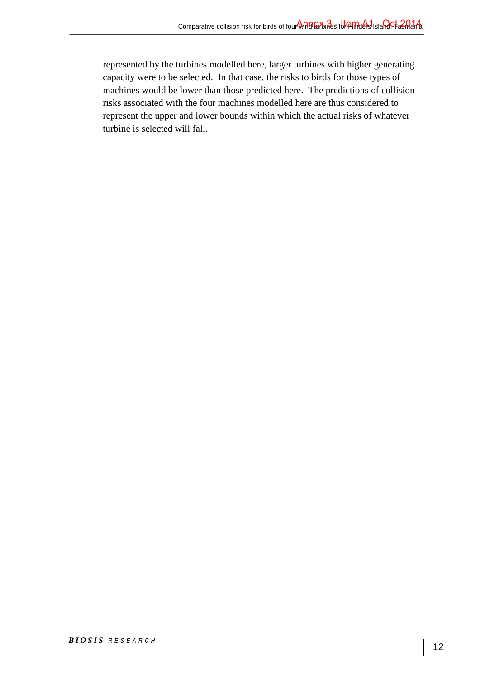represented by the turbines modelled here, larger turbines with higher generating capacity were to be selected. In that case, the risks to birds for those types of machines would be lower than those predicted here. The predictions of collision risks associated with the four machines modelled here are thus considered to represent the upper and lower bounds within which the actual risks of whatever turbine is selected will fall.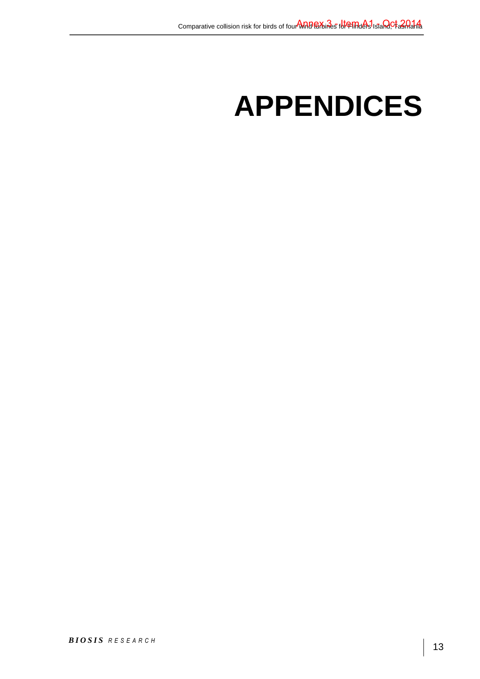# **APPENDICES**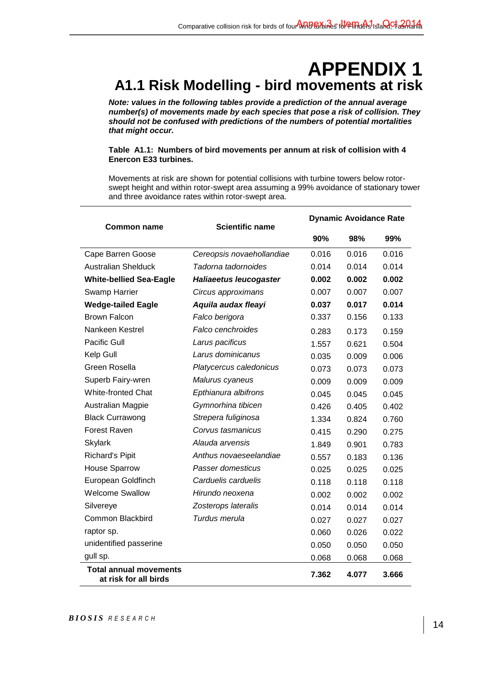## **APPENDIX 1 A1.1 Risk Modelling - bird movements at risk**

*Note: values in the following tables provide a prediction of the annual average number(s) of movements made by each species that pose a risk of collision. They should not be confused with predictions of the numbers of potential mortalities that might occur.* 

**Table A1.1: Numbers of bird movements per annum at risk of collision with 4 Enercon E33 turbines.** 

|                                                        |                               | <b>Dynamic Avoidance Rate</b> |       |       |  |
|--------------------------------------------------------|-------------------------------|-------------------------------|-------|-------|--|
| <b>Common name</b>                                     | <b>Scientific name</b>        | 90%                           | 98%   | 99%   |  |
| Cape Barren Goose                                      | Cereopsis novaehollandiae     | 0.016                         | 0.016 | 0.016 |  |
| <b>Australian Shelduck</b>                             | Tadorna tadornoides           | 0.014                         | 0.014 | 0.014 |  |
| <b>White-bellied Sea-Eagle</b>                         | <b>Haliaeetus leucogaster</b> | 0.002                         | 0.002 | 0.002 |  |
| <b>Swamp Harrier</b>                                   | Circus approximans            | 0.007                         | 0.007 | 0.007 |  |
| <b>Wedge-tailed Eagle</b>                              | Aquila audax fleayi           | 0.037                         | 0.017 | 0.014 |  |
| <b>Brown Falcon</b>                                    | Falco berigora                | 0.337                         | 0.156 | 0.133 |  |
| Nankeen Kestrel                                        | Falco cenchroides             | 0.283                         | 0.173 | 0.159 |  |
| <b>Pacific Gull</b>                                    | Larus pacificus               | 1.557                         | 0.621 | 0.504 |  |
| Kelp Gull                                              | Larus dominicanus             | 0.035                         | 0.009 | 0.006 |  |
| Green Rosella                                          | Platycercus caledonicus       | 0.073                         | 0.073 | 0.073 |  |
| Superb Fairy-wren                                      | Malurus cyaneus               | 0.009                         | 0.009 | 0.009 |  |
| <b>White-fronted Chat</b>                              | Epthianura albifrons          | 0.045                         | 0.045 | 0.045 |  |
| Australian Magpie                                      | Gymnorhina tibicen            | 0.426                         | 0.405 | 0.402 |  |
| <b>Black Currawong</b>                                 | Strepera fuliginosa           | 1.334                         | 0.824 | 0.760 |  |
| Forest Raven                                           | Corvus tasmanicus             | 0.415                         | 0.290 | 0.275 |  |
| <b>Skylark</b>                                         | Alauda arvensis               | 1.849                         | 0.901 | 0.783 |  |
| <b>Richard's Pipit</b>                                 | Anthus novaeseelandiae        | 0.557                         | 0.183 | 0.136 |  |
| <b>House Sparrow</b>                                   | Passer domesticus             | 0.025                         | 0.025 | 0.025 |  |
| European Goldfinch                                     | Carduelis carduelis           | 0.118                         | 0.118 | 0.118 |  |
| <b>Welcome Swallow</b>                                 | Hirundo neoxena               | 0.002                         | 0.002 | 0.002 |  |
| Silvereye                                              | Zosterops lateralis           | 0.014                         | 0.014 | 0.014 |  |
| <b>Common Blackbird</b>                                | Turdus merula                 | 0.027                         | 0.027 | 0.027 |  |
| raptor sp.                                             |                               | 0.060                         | 0.026 | 0.022 |  |
| unidentified passerine                                 |                               | 0.050                         | 0.050 | 0.050 |  |
| gull sp.                                               |                               | 0.068                         | 0.068 | 0.068 |  |
| <b>Total annual movements</b><br>at risk for all birds |                               | 7.362                         | 4.077 | 3.666 |  |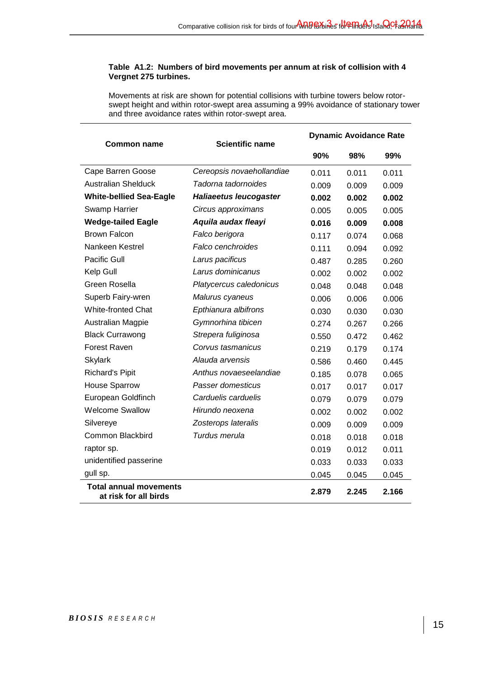#### **Table A1.2: Numbers of bird movements per annum at risk of collision with 4 Vergnet 275 turbines.**

|                                                        |                           | <b>Dynamic Avoidance Rate</b> |       |       |
|--------------------------------------------------------|---------------------------|-------------------------------|-------|-------|
| Common name                                            | <b>Scientific name</b>    | 90%                           | 98%   | 99%   |
| Cape Barren Goose                                      | Cereopsis novaehollandiae | 0.011                         | 0.011 | 0.011 |
| <b>Australian Shelduck</b>                             | Tadorna tadornoides       | 0.009                         | 0.009 | 0.009 |
| <b>White-bellied Sea-Eagle</b>                         | Haliaeetus leucogaster    | 0.002                         | 0.002 | 0.002 |
| <b>Swamp Harrier</b>                                   | Circus approximans        | 0.005                         | 0.005 | 0.005 |
| <b>Wedge-tailed Eagle</b>                              | Aquila audax fleayi       | 0.016                         | 0.009 | 0.008 |
| <b>Brown Falcon</b>                                    | Falco berigora            | 0.117                         | 0.074 | 0.068 |
| Nankeen Kestrel                                        | Falco cenchroides         | 0.111                         | 0.094 | 0.092 |
| Pacific Gull                                           | Larus pacificus           | 0.487                         | 0.285 | 0.260 |
| Kelp Gull                                              | Larus dominicanus         | 0.002                         | 0.002 | 0.002 |
| Green Rosella                                          | Platycercus caledonicus   | 0.048                         | 0.048 | 0.048 |
| Superb Fairy-wren                                      | Malurus cyaneus           | 0.006                         | 0.006 | 0.006 |
| <b>White-fronted Chat</b>                              | Epthianura albifrons      | 0.030                         | 0.030 | 0.030 |
| Australian Magpie                                      | Gymnorhina tibicen        | 0.274                         | 0.267 | 0.266 |
| <b>Black Currawong</b>                                 | Strepera fuliginosa       | 0.550                         | 0.472 | 0.462 |
| <b>Forest Raven</b>                                    | Corvus tasmanicus         | 0.219                         | 0.179 | 0.174 |
| <b>Skylark</b>                                         | Alauda arvensis           | 0.586                         | 0.460 | 0.445 |
| <b>Richard's Pipit</b>                                 | Anthus novaeseelandiae    | 0.185                         | 0.078 | 0.065 |
| <b>House Sparrow</b>                                   | Passer domesticus         | 0.017                         | 0.017 | 0.017 |
| European Goldfinch                                     | Carduelis carduelis       | 0.079                         | 0.079 | 0.079 |
| <b>Welcome Swallow</b>                                 | Hirundo neoxena           | 0.002                         | 0.002 | 0.002 |
| Silvereye                                              | Zosterops lateralis       | 0.009                         | 0.009 | 0.009 |
| Common Blackbird                                       | Turdus merula             | 0.018                         | 0.018 | 0.018 |
| raptor sp.                                             |                           | 0.019                         | 0.012 | 0.011 |
| unidentified passerine                                 |                           | 0.033                         | 0.033 | 0.033 |
| gull sp.                                               |                           | 0.045                         | 0.045 | 0.045 |
| <b>Total annual movements</b><br>at risk for all birds |                           | 2.879                         | 2.245 | 2.166 |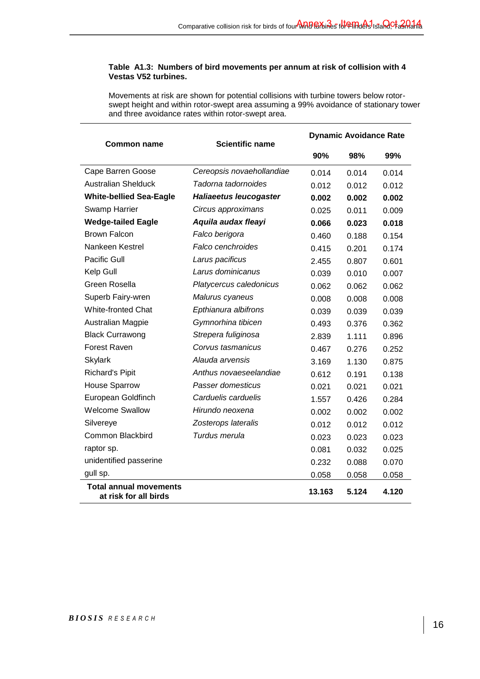#### **Table A1.3: Numbers of bird movements per annum at risk of collision with 4 Vestas V52 turbines.**

|                                                        |                           | <b>Dynamic Avoidance Rate</b> |       |       |
|--------------------------------------------------------|---------------------------|-------------------------------|-------|-------|
| Common name                                            | <b>Scientific name</b>    | 90%                           | 98%   | 99%   |
| Cape Barren Goose                                      | Cereopsis novaehollandiae | 0.014                         | 0.014 | 0.014 |
| <b>Australian Shelduck</b>                             | Tadorna tadornoides       | 0.012                         | 0.012 | 0.012 |
| <b>White-bellied Sea-Eagle</b>                         | Haliaeetus leucogaster    | 0.002                         | 0.002 | 0.002 |
| Swamp Harrier                                          | Circus approximans        | 0.025                         | 0.011 | 0.009 |
| <b>Wedge-tailed Eagle</b>                              | Aquila audax fleayi       | 0.066                         | 0.023 | 0.018 |
| <b>Brown Falcon</b>                                    | Falco berigora            | 0.460                         | 0.188 | 0.154 |
| Nankeen Kestrel                                        | Falco cenchroides         | 0.415                         | 0.201 | 0.174 |
| <b>Pacific Gull</b>                                    | Larus pacificus           | 2.455                         | 0.807 | 0.601 |
| Kelp Gull                                              | Larus dominicanus         | 0.039                         | 0.010 | 0.007 |
| Green Rosella                                          | Platycercus caledonicus   | 0.062                         | 0.062 | 0.062 |
| Superb Fairy-wren                                      | Malurus cyaneus           | 0.008                         | 0.008 | 0.008 |
| <b>White-fronted Chat</b>                              | Epthianura albifrons      | 0.039                         | 0.039 | 0.039 |
| Australian Magpie                                      | Gymnorhina tibicen        | 0.493                         | 0.376 | 0.362 |
| <b>Black Currawong</b>                                 | Strepera fuliginosa       | 2.839                         | 1.111 | 0.896 |
| <b>Forest Raven</b>                                    | Corvus tasmanicus         | 0.467                         | 0.276 | 0.252 |
| <b>Skylark</b>                                         | Alauda arvensis           | 3.169                         | 1.130 | 0.875 |
| <b>Richard's Pipit</b>                                 | Anthus novaeseelandiae    | 0.612                         | 0.191 | 0.138 |
| <b>House Sparrow</b>                                   | Passer domesticus         | 0.021                         | 0.021 | 0.021 |
| European Goldfinch                                     | Carduelis carduelis       | 1.557                         | 0.426 | 0.284 |
| <b>Welcome Swallow</b>                                 | Hirundo neoxena           | 0.002                         | 0.002 | 0.002 |
| Silvereye                                              | Zosterops lateralis       | 0.012                         | 0.012 | 0.012 |
| Common Blackbird                                       | Turdus merula             | 0.023                         | 0.023 | 0.023 |
| raptor sp.                                             |                           | 0.081                         | 0.032 | 0.025 |
| unidentified passerine                                 |                           | 0.232                         | 0.088 | 0.070 |
| gull sp.                                               |                           | 0.058                         | 0.058 | 0.058 |
| <b>Total annual movements</b><br>at risk for all birds |                           | 13.163                        | 5.124 | 4.120 |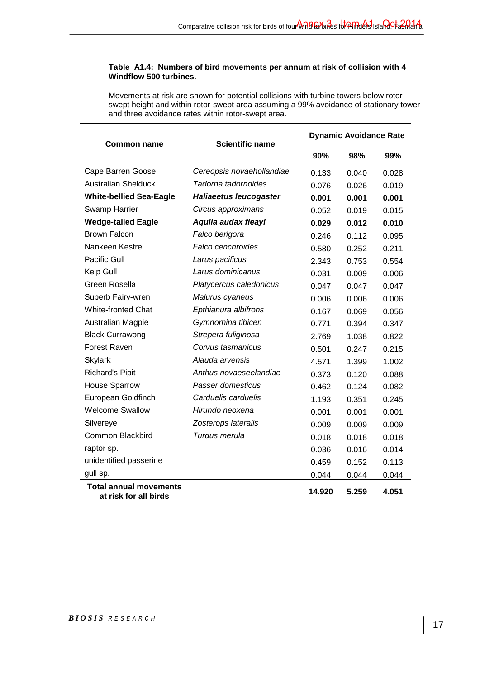#### **Table A1.4: Numbers of bird movements per annum at risk of collision with 4 Windflow 500 turbines.**

|                                                        |                           | <b>Dynamic Avoidance Rate</b> |       |       |
|--------------------------------------------------------|---------------------------|-------------------------------|-------|-------|
| <b>Common name</b>                                     | <b>Scientific name</b>    | 90%                           | 98%   | 99%   |
| Cape Barren Goose                                      | Cereopsis novaehollandiae | 0.133                         | 0.040 | 0.028 |
| <b>Australian Shelduck</b>                             | Tadorna tadornoides       | 0.076                         | 0.026 | 0.019 |
| <b>White-bellied Sea-Eagle</b>                         | Haliaeetus leucogaster    | 0.001                         | 0.001 | 0.001 |
| <b>Swamp Harrier</b>                                   | Circus approximans        | 0.052                         | 0.019 | 0.015 |
| <b>Wedge-tailed Eagle</b>                              | Aquila audax fleayi       | 0.029                         | 0.012 | 0.010 |
| <b>Brown Falcon</b>                                    | Falco berigora            | 0.246                         | 0.112 | 0.095 |
| Nankeen Kestrel                                        | Falco cenchroides         | 0.580                         | 0.252 | 0.211 |
| <b>Pacific Gull</b>                                    | Larus pacificus           | 2.343                         | 0.753 | 0.554 |
| Kelp Gull                                              | Larus dominicanus         | 0.031                         | 0.009 | 0.006 |
| Green Rosella                                          | Platycercus caledonicus   | 0.047                         | 0.047 | 0.047 |
| Superb Fairy-wren                                      | Malurus cyaneus           | 0.006                         | 0.006 | 0.006 |
| White-fronted Chat                                     | Epthianura albifrons      | 0.167                         | 0.069 | 0.056 |
| <b>Australian Magpie</b>                               | Gymnorhina tibicen        | 0.771                         | 0.394 | 0.347 |
| <b>Black Currawong</b>                                 | Strepera fuliginosa       | 2.769                         | 1.038 | 0.822 |
| <b>Forest Raven</b>                                    | Corvus tasmanicus         | 0.501                         | 0.247 | 0.215 |
| <b>Skylark</b>                                         | Alauda arvensis           | 4.571                         | 1.399 | 1.002 |
| <b>Richard's Pipit</b>                                 | Anthus novaeseelandiae    | 0.373                         | 0.120 | 0.088 |
| <b>House Sparrow</b>                                   | Passer domesticus         | 0.462                         | 0.124 | 0.082 |
| European Goldfinch                                     | Carduelis carduelis       | 1.193                         | 0.351 | 0.245 |
| <b>Welcome Swallow</b>                                 | Hirundo neoxena           | 0.001                         | 0.001 | 0.001 |
| Silvereye                                              | Zosterops lateralis       | 0.009                         | 0.009 | 0.009 |
| Common Blackbird                                       | Turdus merula             | 0.018                         | 0.018 | 0.018 |
| raptor sp.                                             |                           | 0.036                         | 0.016 | 0.014 |
| unidentified passerine                                 |                           | 0.459                         | 0.152 | 0.113 |
| gull sp.                                               |                           | 0.044                         | 0.044 | 0.044 |
| <b>Total annual movements</b><br>at risk for all birds |                           | 14.920                        | 5.259 | 4.051 |